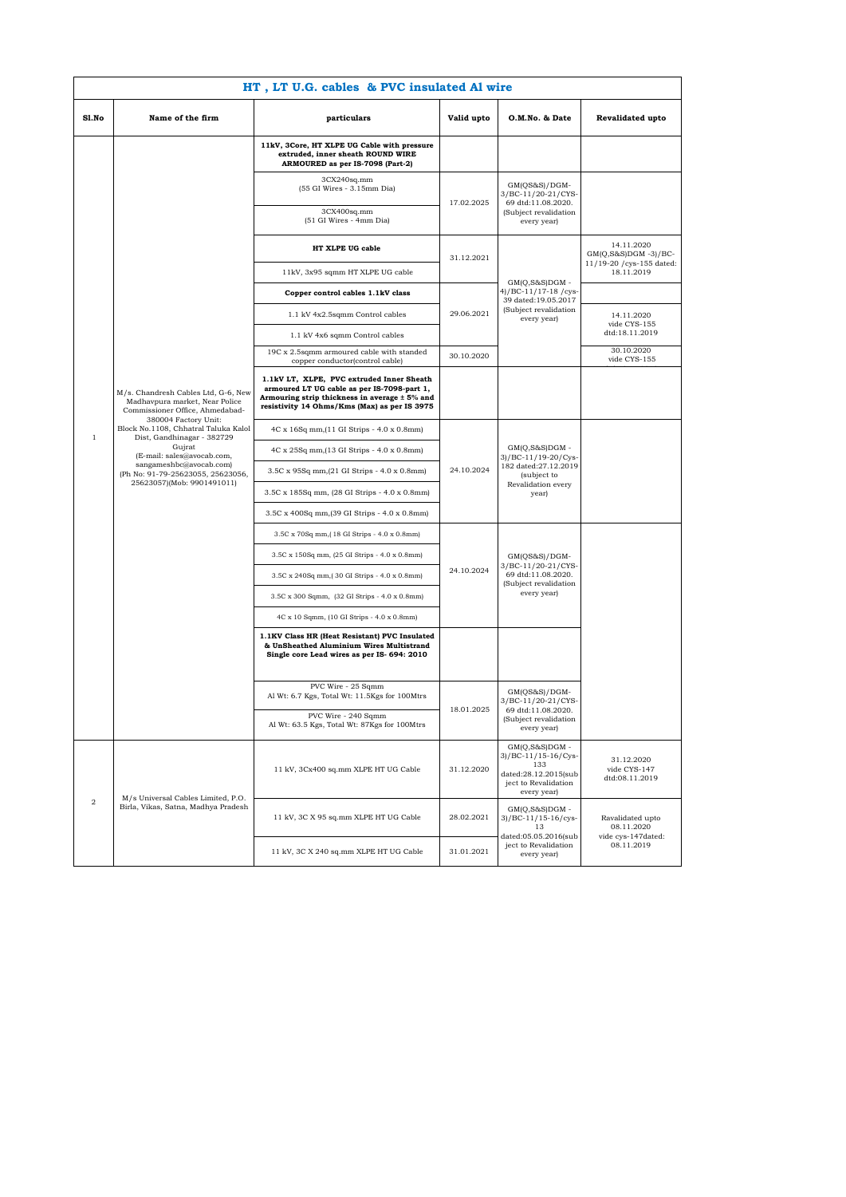|              | HT, LT U.G. cables & PVC insulated Al wire                                                                                                                                                                                       |                                                                                                                                                                                           |                                           |                                                                                                                                       |                                                                   |  |
|--------------|----------------------------------------------------------------------------------------------------------------------------------------------------------------------------------------------------------------------------------|-------------------------------------------------------------------------------------------------------------------------------------------------------------------------------------------|-------------------------------------------|---------------------------------------------------------------------------------------------------------------------------------------|-------------------------------------------------------------------|--|
| Sl.No        | Name of the firm                                                                                                                                                                                                                 | particulars                                                                                                                                                                               | Valid upto                                | O.M.No. & Date                                                                                                                        | Revalidated upto                                                  |  |
|              |                                                                                                                                                                                                                                  | 11kV, 3Core, HT XLPE UG Cable with pressure<br>extruded, inner sheath ROUND WIRE<br>ARMOURED as per IS-7098 (Part-2)                                                                      |                                           |                                                                                                                                       |                                                                   |  |
|              |                                                                                                                                                                                                                                  | 3CX240sq.mm<br>(55 GI Wires - 3.15mm Dia)<br>3CX400sq.mm                                                                                                                                  | 17.02.2025                                | $GM(QS&S)/DGM-$<br>3/BC-11/20-21/CYS-<br>69 dtd:11.08.2020.<br>(Subject revalidation                                                  |                                                                   |  |
|              |                                                                                                                                                                                                                                  | (51 GI Wires - 4mm Dia)                                                                                                                                                                   |                                           | every year)                                                                                                                           |                                                                   |  |
|              |                                                                                                                                                                                                                                  | HT XLPE UG cable                                                                                                                                                                          | 31.12.2021                                | $GM(Q,S\&S)DGM -$                                                                                                                     | 14.11.2020<br>$GM(Q,S\&S)DGM -3)/BC$<br>11/19-20 / cys-155 dated: |  |
|              |                                                                                                                                                                                                                                  | 11kV, 3x95 sqmm HT XLPE UG cable                                                                                                                                                          |                                           |                                                                                                                                       | 18.11.2019                                                        |  |
|              |                                                                                                                                                                                                                                  | Copper control cables 1.1kV class                                                                                                                                                         | 4)/BC-11/17-18/cys<br>39 dated:19.05.2017 |                                                                                                                                       |                                                                   |  |
|              |                                                                                                                                                                                                                                  | 1.1 kV 4x2.5sqmm Control cables                                                                                                                                                           | 29.06.2021                                | (Subject revalidation<br>every year)                                                                                                  | 14.11.2020<br>vide CYS-155                                        |  |
|              |                                                                                                                                                                                                                                  | 1.1 kV 4x6 sqmm Control cables                                                                                                                                                            |                                           |                                                                                                                                       | dtd:18.11.2019<br>30.10.2020                                      |  |
|              |                                                                                                                                                                                                                                  | 19C x 2.5sqmm armoured cable with standed<br>copper conductor(control cable)                                                                                                              | 30.10.2020                                |                                                                                                                                       | vide CYS-155                                                      |  |
|              | M/s. Chandresh Cables Ltd, G-6, New<br>Madhavpura market, Near Police<br>Commissioner Office, Ahmedabad-                                                                                                                         | 1.1kV LT, XLPE, PVC extruded Inner Sheath<br>armoured LT UG cable as per IS-7098-part 1,<br>Armouring strip thickness in average ± 5% and<br>resistivity 14 Ohms/Kms (Max) as per IS 3975 |                                           |                                                                                                                                       |                                                                   |  |
| $\mathbf{1}$ | 380004 Factory Unit:<br>Block No.1108, Chhatral Taluka Kalol<br>Dist, Gandhinagar - 382729<br>Gujrat<br>(E-mail: sales@avocab.com,<br>sangameshbc@avocab.com)<br>(Ph No: 91-79-25623055, 25623056,<br>25623057)(Mob: 9901491011) | 4C x 16Sq mm, (11 GI Strips - 4.0 x 0.8mm)                                                                                                                                                |                                           | $GM(Q,S&S)DGM -$<br>3)/BC-11/19-20/Cys<br>182 dated:27.12.2019<br>(subject to<br>Revalidation every<br>year)                          |                                                                   |  |
|              |                                                                                                                                                                                                                                  | 4C x 25Sq mm, (13 GI Strips - 4.0 x 0.8mm)                                                                                                                                                |                                           |                                                                                                                                       |                                                                   |  |
|              |                                                                                                                                                                                                                                  | 3.5C x 95Sq mm, (21 GI Strips - 4.0 x 0.8mm)                                                                                                                                              | 24.10.2024                                |                                                                                                                                       |                                                                   |  |
|              |                                                                                                                                                                                                                                  | 3.5C x 185Sq mm, (28 GI Strips - 4.0 x 0.8mm)                                                                                                                                             |                                           |                                                                                                                                       |                                                                   |  |
|              |                                                                                                                                                                                                                                  | 3.5C x 400Sq mm, (39 GI Strips - 4.0 x 0.8mm)                                                                                                                                             |                                           |                                                                                                                                       |                                                                   |  |
|              |                                                                                                                                                                                                                                  | 3.5C x 70Sq mm, (18 GI Strips - 4.0 x 0.8mm)                                                                                                                                              | 24.10.2024                                | $GM(QS&S)/DGM-$<br>3/BC-11/20-21/CYS-<br>69 dtd:11.08.2020.<br>(Subject revalidation<br>every year)                                   |                                                                   |  |
|              |                                                                                                                                                                                                                                  | 3.5C x 150Sq mm, (25 GI Strips - 4.0 x 0.8mm)                                                                                                                                             |                                           |                                                                                                                                       |                                                                   |  |
|              |                                                                                                                                                                                                                                  | 3.5C x 240Sq mm, (30 GI Strips - 4.0 x 0.8mm)                                                                                                                                             |                                           |                                                                                                                                       |                                                                   |  |
|              |                                                                                                                                                                                                                                  | 3.5C x 300 Sqmm, (32 GI Strips - 4.0 x 0.8mm)                                                                                                                                             |                                           |                                                                                                                                       |                                                                   |  |
|              |                                                                                                                                                                                                                                  | 4C x 10 Sqmm, (10 GI Strips - 4.0 x 0.8mm)                                                                                                                                                |                                           |                                                                                                                                       |                                                                   |  |
|              |                                                                                                                                                                                                                                  | 1.1KV Class HR (Heat Resistant) PVC Insulated<br>& UnSheathed Aluminium Wires Multistrand<br>Single core Lead wires as per IS- 694: 2010                                                  |                                           |                                                                                                                                       |                                                                   |  |
|              |                                                                                                                                                                                                                                  | PVC Wire - 25 Sqmm<br>Al Wt: 6.7 Kgs, Total Wt: 11.5Kgs for 100Mtrs                                                                                                                       | 18.01.2025                                | GM(QS&S)/DGM-<br>3/BC-11/20-21/CYS-<br>69 dtd:11.08.2020.<br>(Subject revalidation<br>every year)                                     |                                                                   |  |
|              |                                                                                                                                                                                                                                  | PVC Wire - 240 Sqmm<br>Al Wt: 63.5 Kgs, Total Wt: 87Kgs for 100Mtrs                                                                                                                       |                                           |                                                                                                                                       |                                                                   |  |
| $\,2$        |                                                                                                                                                                                                                                  | 11 kV, 3Cx400 sq.mm XLPE HT UG Cable                                                                                                                                                      | 31.12.2020                                | $GM(Q,S&S)DGM -$<br>3)/BC-11/15-16/Cys-<br>133<br>dated:28.12.2015(sub<br>ject to Revalidation<br>every year)                         | 31.12.2020<br>vide CYS-147<br>dtd:08.11.2019                      |  |
|              | M/s Universal Cables Limited, P.O.<br>Birla, Vikas, Satna, Madhya Pradesh                                                                                                                                                        | 11 kV, 3C X 95 sq.mm XLPE HT UG Cable                                                                                                                                                     | 28.02.2021                                | $\mathrm{GM}(\mathrm{Q},\mathrm{S}\&\mathrm{S})\mathrm{D}\mathrm{G}\mathrm{M}$ -<br>3)/BC-11/15-16/cys-<br>13<br>dated:05.05.2016(sub | Ravalidated upto<br>08.11.2020<br>vide cys-147dated:              |  |
|              |                                                                                                                                                                                                                                  | 11 kV, 3C X 240 sq.mm XLPE HT UG Cable                                                                                                                                                    | 31.01.2021                                | ject to Revalidation<br>every year)                                                                                                   | 08.11.2019                                                        |  |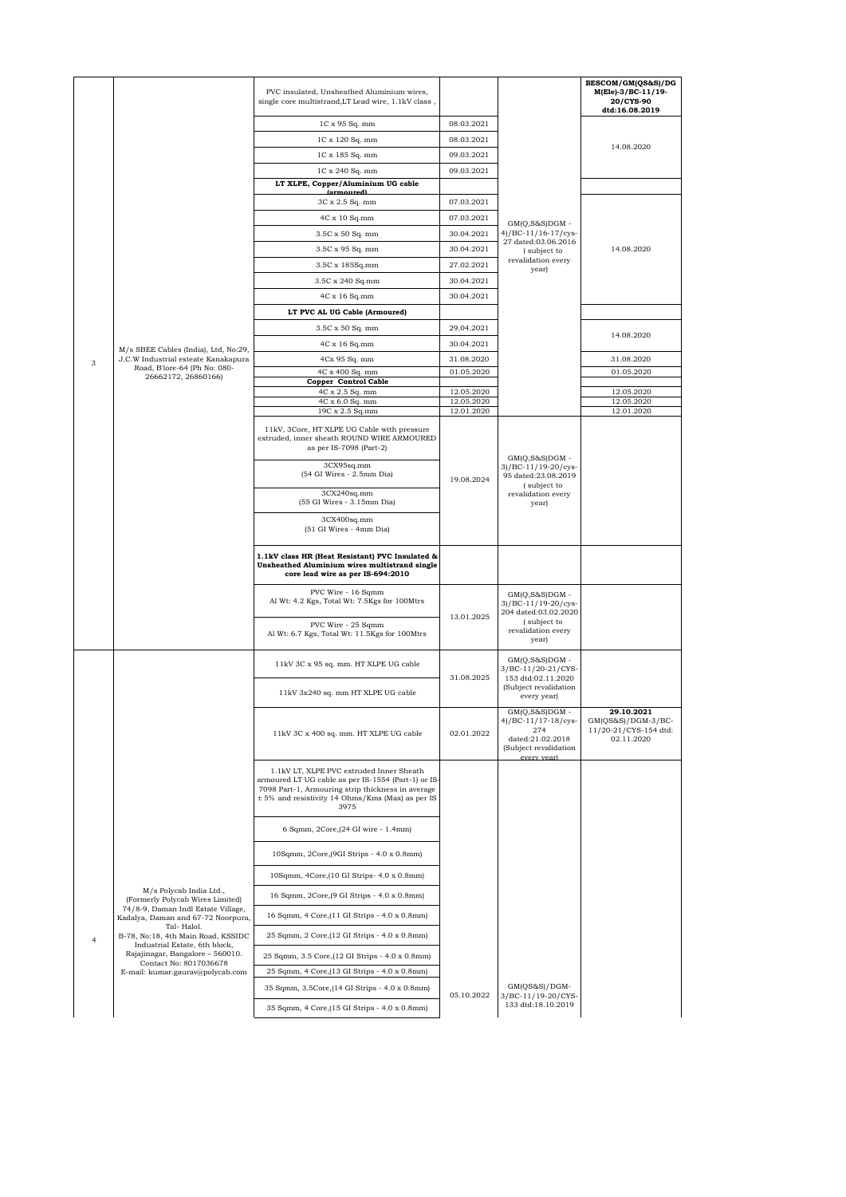|   |                                                                                                   | PVC insulated, Unsheathed Aluminium wires,<br>single core multistrand, LT Lead wire, 1.1kV class,                                                                                                                |                          |                                                                                                               | BESCOM/GM(QS&S)/DG<br>M(Ele)-3/BC-11/19-<br>20/CYS-90<br>dtd:16.08.2019 |
|---|---------------------------------------------------------------------------------------------------|------------------------------------------------------------------------------------------------------------------------------------------------------------------------------------------------------------------|--------------------------|---------------------------------------------------------------------------------------------------------------|-------------------------------------------------------------------------|
|   |                                                                                                   | 1C x 95 Sq. mm                                                                                                                                                                                                   | 08.03.2021               |                                                                                                               |                                                                         |
|   |                                                                                                   | 1C x 120 Sq. mm                                                                                                                                                                                                  | 08.03.2021               |                                                                                                               | 14.08.2020                                                              |
|   |                                                                                                   | 1C x 185 Sq. mm                                                                                                                                                                                                  | 09.03.2021               |                                                                                                               |                                                                         |
|   |                                                                                                   | 1C x 240 Sq. mm                                                                                                                                                                                                  | 09.03.2021               |                                                                                                               |                                                                         |
|   |                                                                                                   | LT XLPE, Copper/Aluminium UG cable<br><i>larmoured)</i>                                                                                                                                                          |                          |                                                                                                               |                                                                         |
|   |                                                                                                   | 3C x 2.5 Sq. mm                                                                                                                                                                                                  | 07.03.2021               |                                                                                                               |                                                                         |
|   |                                                                                                   | $4C \times 10$ Sq.mm                                                                                                                                                                                             | 07.03.2021               | $GM(O, S&S)DGM -$<br>4)/BC-11/16-17/cys-<br>27 dated:03.06.2016<br>(subject to<br>revalidation every<br>year) |                                                                         |
|   |                                                                                                   | 3.5C x 50 Sq. mm                                                                                                                                                                                                 | 30.04.2021               |                                                                                                               |                                                                         |
|   |                                                                                                   | 3.5C x 95 Sq. mm                                                                                                                                                                                                 | 30.04.2021<br>27.02.2021 |                                                                                                               | 14.08.2020                                                              |
|   |                                                                                                   | 3.5C x 185Sq.mm<br>3.5C x 240 Sq.mm                                                                                                                                                                              | 30.04.2021               |                                                                                                               |                                                                         |
|   |                                                                                                   | 4C x 16 Sq.mm                                                                                                                                                                                                    | 30.04.2021               |                                                                                                               |                                                                         |
|   |                                                                                                   | LT PVC AL UG Cable (Armoured)                                                                                                                                                                                    |                          |                                                                                                               |                                                                         |
|   |                                                                                                   | 3.5C x 50 Sq. mm                                                                                                                                                                                                 | 29.04.2021               |                                                                                                               |                                                                         |
|   |                                                                                                   | 4C x 16 Sq.mm                                                                                                                                                                                                    | 30.04.2021               |                                                                                                               | 14.08.2020                                                              |
| 3 | M/s SBEE Cables (India), Ltd, No:29,<br>J.C.W Industrial esteate Kanakapura                       | 4Cx 95 Sq. mm                                                                                                                                                                                                    | 31.08.2020               |                                                                                                               | 31.08.2020                                                              |
|   | Road, B'lore-64 (Ph No: 080-<br>26662172, 26860166)                                               | 4C x 400 Sq. mm                                                                                                                                                                                                  | 01.05.2020               |                                                                                                               | 01.05.2020                                                              |
|   |                                                                                                   | Copper Control Cable<br>4C x 2.5 Sq. mm                                                                                                                                                                          | 12.05.2020               |                                                                                                               | 12.05.2020                                                              |
|   |                                                                                                   | 4C x 6.0 Sq. mm<br>19C x 2.5 Sq.mm                                                                                                                                                                               | 12.05.2020<br>12.01.2020 |                                                                                                               | 12.05.2020<br>12.01.2020                                                |
|   |                                                                                                   | 11kV, 3Core, HT XLPE UG Cable with pressure<br>extruded, inner sheath ROUND WIRE ARMOURED<br>as per IS-7098 (Part-2)                                                                                             |                          |                                                                                                               |                                                                         |
|   |                                                                                                   | 3CX95sq.mm<br>(54 GI Wires - 2.5mm Dia)                                                                                                                                                                          | 19.08.2024               | $GM(Q,S&S)DGM -$<br>3)/BC-11/19-20/cys-<br>95 dated:23.08.2019<br>(subject to<br>revalidation every<br>year)  |                                                                         |
|   |                                                                                                   | 3CX240sq.mm<br>(55 GI Wires - 3.15mm Dia)                                                                                                                                                                        |                          |                                                                                                               |                                                                         |
|   |                                                                                                   | 3CX400sq.mm<br>(51 GI Wires - 4mm Dia)                                                                                                                                                                           |                          |                                                                                                               |                                                                         |
|   |                                                                                                   | 1.1kV class HR (Heat Resistant) PVC Insulated &<br>Unsheathed Aluminium wires multistrand single<br>core lead wire as per IS-694:2010                                                                            |                          |                                                                                                               |                                                                         |
|   |                                                                                                   | PVC Wire - 16 Sqmm<br>Al Wt: 4.2 Kgs, Total Wt: 7.5Kgs for 100Mtrs                                                                                                                                               | 13.01.2025               | $GM(Q,S\&S)DGM -$<br>3)/BC-11/19-20/cys-<br>204 dated:03.02.2020<br>(subject to                               |                                                                         |
|   |                                                                                                   | PVC Wire - 25 Sqmm<br>Al Wt: 6.7 Kgs, Total Wt: 11.5Kgs for 100Mtrs                                                                                                                                              |                          | revalidation every<br>year)                                                                                   |                                                                         |
|   |                                                                                                   | 11kV 3C x 95 sq. mm. HT XLPE UG cable                                                                                                                                                                            | 31.08.2025               | $GM(Q,S\&S)DGM -$<br>3/BC-11/20-21/CYS-<br>153 dtd:02.11.2020                                                 |                                                                         |
|   |                                                                                                   | 11kV 3x240 sq. mm HT XLPE UG cable                                                                                                                                                                               |                          | (Subject revalidation<br>every year)<br>GM(Q,S&S)DGM                                                          | 29.10.2021                                                              |
|   |                                                                                                   | 11kV 3C x 400 sq. mm. HT XLPE UG cable                                                                                                                                                                           | 02.01.2022               | 4)/BC-11/17-18/cys-<br>274<br>dated:21.02.2018<br>(Subject revalidation<br>every year)                        | $GM(QS&S)/DGM-3/BC-$<br>11/20-21/CYS-154 dtd:<br>02.11.2020             |
|   |                                                                                                   | 1.1kV LT, XLPE PVC extruded Inner Sheath<br>armoured LT UG cable as per IS-1554 (Part-1) or IS-<br>7098 Part-1, Armouring strip thickness in average<br>± 5% and resistivity 14 Ohms/Kms (Max) as per IS<br>3975 |                          |                                                                                                               |                                                                         |
|   |                                                                                                   | 6 Sqmm, 2Core, (24 GI wire - 1.4mm)                                                                                                                                                                              |                          |                                                                                                               |                                                                         |
|   |                                                                                                   | 10Sqmm, 2Core, (9GI Strips - 4.0 x 0.8mm)                                                                                                                                                                        |                          |                                                                                                               |                                                                         |
|   |                                                                                                   | 10Sqmm, 4Core, (10 GI Strips- 4.0 x 0.8mm)                                                                                                                                                                       |                          |                                                                                                               |                                                                         |
|   | M/s Polycab India Ltd.,<br>(Formerly Polycab Wires Limited)<br>74/8-9, Daman Indl Estate Village, | 16 Sqmm, 2Core, (9 GI Strips - 4.0 x 0.8mm)                                                                                                                                                                      |                          |                                                                                                               |                                                                         |
|   | Kadalya, Daman and 67-72 Noorpura,<br>Tal-Halol.                                                  | 16 Sqmm, 4 Core, (11 GI Strips - 4.0 x 0.8mm)                                                                                                                                                                    |                          |                                                                                                               |                                                                         |
| 4 | B-78, No:18, 4th Main Road, KSSIDC<br>Industrial Estate, 6th block,                               | 25 Sqmm, 2 Core, (12 GI Strips - 4.0 x 0.8mm)                                                                                                                                                                    |                          |                                                                                                               |                                                                         |
|   | Rajajinagar, Bangalore - 560010.<br>Contact No: 8017036678                                        | 25 Sqmm, 3.5 Core, (12 GI Strips - 4.0 x 0.8mm)                                                                                                                                                                  |                          |                                                                                                               |                                                                         |
|   | E-mail: kumar.gaurav@polycab.com                                                                  | 25 Sqmm, 4 Core, (13 GI Strips - 4.0 x 0.8mm)                                                                                                                                                                    |                          | $GM(QS&S)/DGM-$                                                                                               |                                                                         |
|   |                                                                                                   | 35 Sqmm, 3.5Core, (14 GI Strips - 4.0 x 0.8mm)                                                                                                                                                                   | 05.10.2022               | 3/BC-11/19-20/CYS                                                                                             |                                                                         |
|   |                                                                                                   | 35 Sqmm, 4 Core, (15 GI Strips - 4.0 x 0.8mm)                                                                                                                                                                    |                          | 133 dtd:18.10.2019                                                                                            |                                                                         |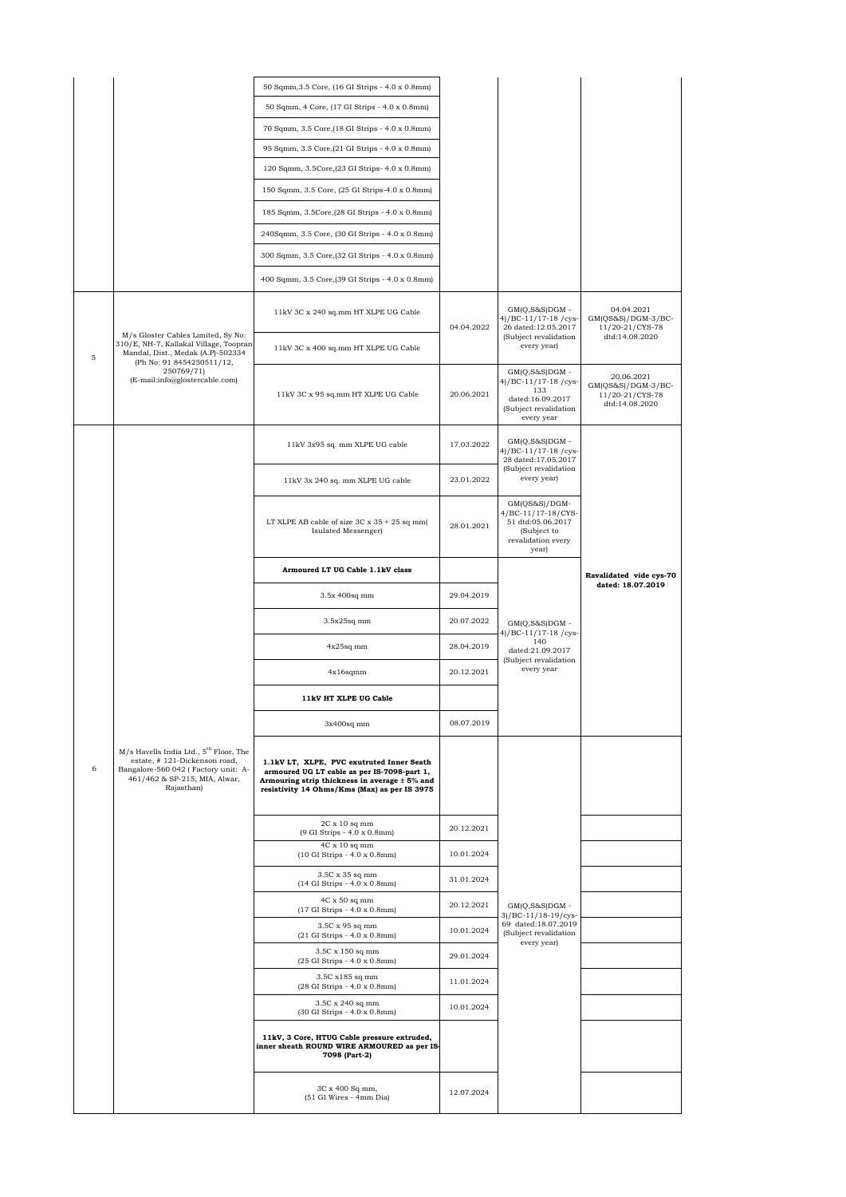|   |                                                                                                                                                                          | 50 Sqmm, 3.5 Core, (16 GI Strips - 4.0 x 0.8mm)                                                                                                                                           |            |                                                                                                           |                                                                       |
|---|--------------------------------------------------------------------------------------------------------------------------------------------------------------------------|-------------------------------------------------------------------------------------------------------------------------------------------------------------------------------------------|------------|-----------------------------------------------------------------------------------------------------------|-----------------------------------------------------------------------|
|   |                                                                                                                                                                          | 50 Sqmm, 4 Core, (17 GI Strips - 4.0 x 0.8mm)                                                                                                                                             |            |                                                                                                           |                                                                       |
|   |                                                                                                                                                                          | 70 Sqmm, 3.5 Core, (18 GI Strips - 4.0 x 0.8mm)                                                                                                                                           |            |                                                                                                           |                                                                       |
|   |                                                                                                                                                                          | 95 Sqmm, 3.5 Core, (21 GI Strips - 4.0 x 0.8mm)                                                                                                                                           |            |                                                                                                           |                                                                       |
|   |                                                                                                                                                                          | 120 Sqmm, 3.5Core, (23 GI Strips- 4.0 x 0.8mm)                                                                                                                                            |            |                                                                                                           |                                                                       |
|   |                                                                                                                                                                          | 150 Sqmm, 3.5 Core, (25 GI Strips-4.0 x 0.8mm)                                                                                                                                            |            |                                                                                                           |                                                                       |
|   |                                                                                                                                                                          | 185 Sqmm, 3.5Core, (28 GI Strips - 4.0 x 0.8mm)                                                                                                                                           |            |                                                                                                           |                                                                       |
|   |                                                                                                                                                                          | 240Sqmm, 3.5 Core, (30 GI Strips - 4.0 x 0.8mm)                                                                                                                                           |            |                                                                                                           |                                                                       |
|   |                                                                                                                                                                          | 300 Sqmm, 3.5 Core, (32 GI Strips - 4.0 x 0.8mm)                                                                                                                                          |            |                                                                                                           |                                                                       |
|   |                                                                                                                                                                          | 400 Sqmm, 3.5 Core, (39 GI Strips - 4.0 x 0.8mm)                                                                                                                                          |            |                                                                                                           |                                                                       |
|   |                                                                                                                                                                          | 11kV 3C x 240 sq.mm HT XLPE UG Cable                                                                                                                                                      | 04.04.2022 | $GM(Q,S\&S)DGM -$<br>4)/BC-11/17-18/cys-<br>26 dated:12.05.2017                                           | 04.04.2021<br>$GM(QS&S)/DGM-3/BC-$<br>11/20-21/CYS-78                 |
| 5 | M/s Gloster Cables Limited, Sy No:<br>310/E, NH-7, Kallakal Village, Toopran<br>Mandal, Dist., Medak (A.P)-502334<br>(Ph No: 91 8454250511/12,                           | 11kV 3C x 400 sq.mm HT XLPE UG Cable                                                                                                                                                      |            | (Subject revalidation<br>every year)                                                                      | dtd:14.08.2020                                                        |
|   | 250769/71)<br>(E-mail:info@glostercable.com)                                                                                                                             | 11kV 3C x 95 sq.mm HT XLPE UG Cable                                                                                                                                                       | 20.06.2021 | $GM(Q,S&S)DGM -$<br>4)/BC-11/17-18/cys-<br>133<br>dated:16.09.2017<br>(Subject revalidation<br>every year | 20.06.2021<br>GM(QS&S)/DGM-3/BC-<br>11/20-21/CYS-78<br>dtd:14.08.2020 |
|   |                                                                                                                                                                          | 11kV 3x95 sq. mm XLPE UG cable                                                                                                                                                            | 17.03.2022 | $GM(Q,S&S)DGM -$<br>4)/BC-11/17-18/cys-<br>28 dated:17.05.2017                                            |                                                                       |
|   |                                                                                                                                                                          | 11kV 3x 240 sq. mm XLPE UG cable                                                                                                                                                          | 23.01.2022 | (Subject revalidation<br>every year)                                                                      |                                                                       |
|   |                                                                                                                                                                          | LT XLPE AB cable of size $3C \times 35 + 25$ sq mm(<br>Isulated Messenger)                                                                                                                | 28.01.2021 | $GM(QS&S)/DGM-$<br>4/BC-11/17-18/CYS-<br>51 dtd:05.06.2017<br>(Subject to<br>revalidation every<br>year)  |                                                                       |
|   |                                                                                                                                                                          | Armoured LT UG Cable 1.1kV class                                                                                                                                                          |            |                                                                                                           | Ravalidated vide cys-70<br>dated: 18.07.2019                          |
|   |                                                                                                                                                                          |                                                                                                                                                                                           |            |                                                                                                           |                                                                       |
|   |                                                                                                                                                                          | 3.5x 400sq mm                                                                                                                                                                             | 29.04.2019 |                                                                                                           |                                                                       |
|   |                                                                                                                                                                          | $3.5x25sq$ mm                                                                                                                                                                             | 20.07.2022 | $GM(O, S&S)DGM -$                                                                                         |                                                                       |
|   |                                                                                                                                                                          | $4x25sq$ mm                                                                                                                                                                               | 28.04.2019 | 4)/BC-11/17-18/cys-<br>140<br>dated:21.09.2017                                                            |                                                                       |
|   |                                                                                                                                                                          | $4x16$ sqmm                                                                                                                                                                               | 20.12.2021 | (Subject revalidation<br>every year                                                                       |                                                                       |
|   |                                                                                                                                                                          | 11kV HT XLPE UG Cable                                                                                                                                                                     |            |                                                                                                           |                                                                       |
|   |                                                                                                                                                                          | $3x400sq$ mm                                                                                                                                                                              | 08.07.2019 |                                                                                                           |                                                                       |
| 6 | M/s Havells India Ltd., 5 <sup>th</sup> Floor, The<br>estate, #121-Dickenson road,<br>Bangalore-560 042 (Factory unit: A-<br>461/462 & SP-215, MIA, Alwar,<br>Rajasthan) | 1.1kV LT, XLPE, PVC exutruted Inner Seath<br>armoured UG LT cable as per IS-7098-part 1,<br>Armouring strip thickness in average ± 5% and<br>resistivity 14 Ohms/Kms (Max) as per IS 3975 |            |                                                                                                           |                                                                       |
|   |                                                                                                                                                                          | $2C \times 10$ sq mm<br>(9 GI Strips - 4.0 x 0.8mm)                                                                                                                                       | 20.12.2021 |                                                                                                           |                                                                       |
|   |                                                                                                                                                                          | $4C \times 10$ sq mm<br>(10 GI Strips - 4.0 x 0.8mm)                                                                                                                                      | 10.01.2024 |                                                                                                           |                                                                       |
|   |                                                                                                                                                                          | $3.5C \ge 35$ sq mm<br>(14 GI Strips - 4.0 x 0.8mm)                                                                                                                                       | 31.01.2024 |                                                                                                           |                                                                       |
|   |                                                                                                                                                                          | $4C \times 50$ sq mm                                                                                                                                                                      | 20.12.2021 | $GM(Q,S&S)DGM -$                                                                                          |                                                                       |
|   |                                                                                                                                                                          | (17 GI Strips - 4.0 x 0.8mm)<br>3.5C x 95 sq mm                                                                                                                                           | 10.01.2024 | 3)/BC-11/18-19/cys-<br>69 dated:18.07.2019<br>(Subject revalidation                                       |                                                                       |
|   |                                                                                                                                                                          | (21 GI Strips - 4.0 x 0.8mm)<br>3.5C x 150 sq mm                                                                                                                                          | 29.01.2024 | every year)                                                                                               |                                                                       |
|   |                                                                                                                                                                          | (25 GI Strips - 4.0 x 0.8mm)<br>3.5C x185 sq mm                                                                                                                                           |            |                                                                                                           |                                                                       |
|   |                                                                                                                                                                          | (28 GI Strips - 4.0 x 0.8mm)<br>3.5C x 240 sq mm                                                                                                                                          | 11.01.2024 |                                                                                                           |                                                                       |
|   |                                                                                                                                                                          | (30 GI Strips - 4.0 x 0.8mm)                                                                                                                                                              | 10.01.2024 |                                                                                                           |                                                                       |
|   |                                                                                                                                                                          | 11kV, 3 Core, HTUG Cable pressure extruded,<br>inner sheath ROUND WIRE ARMOURED as per IS-<br>7098 (Part-2)                                                                               |            |                                                                                                           |                                                                       |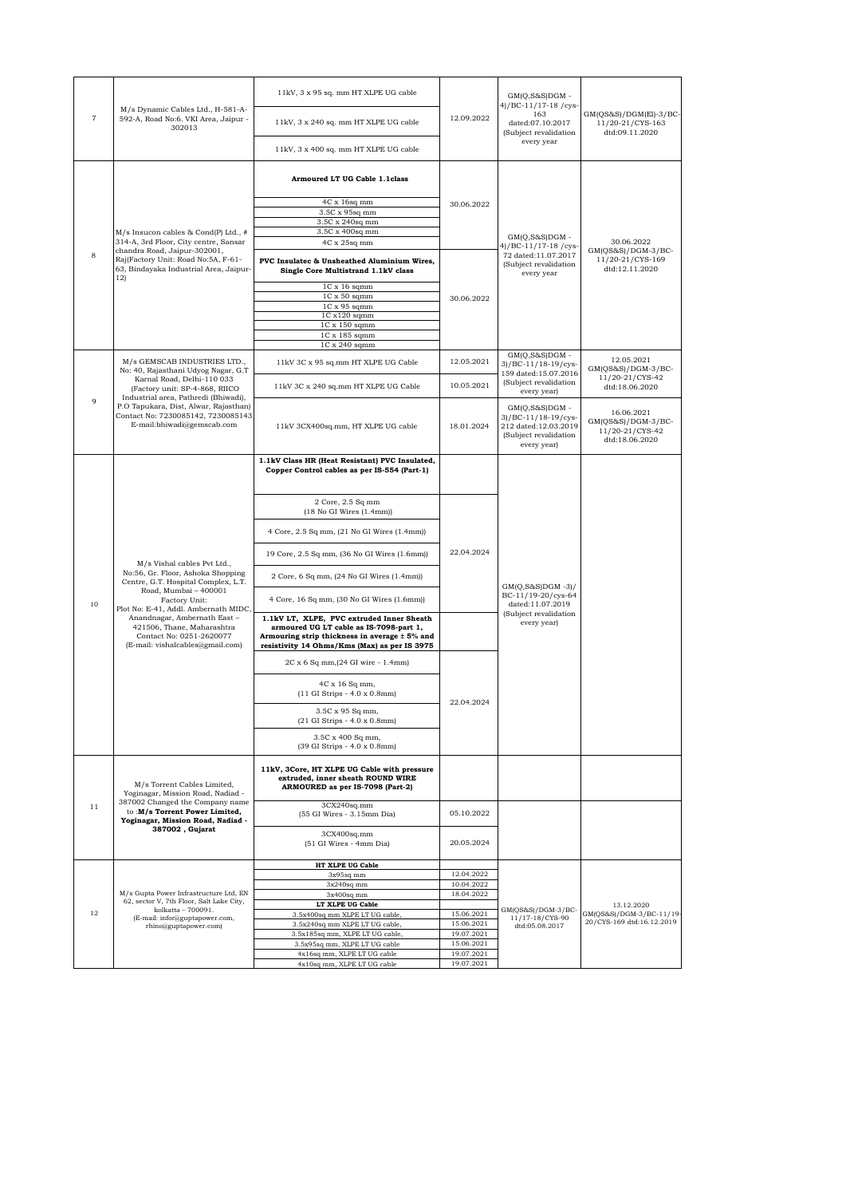| $\overline{\mathbf{7}}$ |                                                                                                                                                                                                                                                                                                                        | 11kV, 3 x 95 sq. mm HT XLPE UG cable                                                                                                                                                  |                          | $GM(Q,S&S)DGM -$<br>4)/BC-11/17-18/cys-                                                                  |                                                                          |
|-------------------------|------------------------------------------------------------------------------------------------------------------------------------------------------------------------------------------------------------------------------------------------------------------------------------------------------------------------|---------------------------------------------------------------------------------------------------------------------------------------------------------------------------------------|--------------------------|----------------------------------------------------------------------------------------------------------|--------------------------------------------------------------------------|
|                         | M/s Dynamic Cables Ltd., H-581-A-<br>592-A, Road No:6. VKI Area, Jaipur -<br>302013                                                                                                                                                                                                                                    | 11kV, 3 x 240 sq. mm HT XLPE UG cable                                                                                                                                                 | 12.09.2022               | 163<br>dated:07.10.2017<br>(Subject revalidation                                                         | GM(QS&S)/DGM(El)-3/BC-<br>11/20-21/CYS-163<br>dtd:09.11.2020             |
|                         |                                                                                                                                                                                                                                                                                                                        | 11kV, 3 x 400 sq. mm HT XLPE UG cable                                                                                                                                                 |                          | every year                                                                                               |                                                                          |
|                         |                                                                                                                                                                                                                                                                                                                        | Armoured LT UG Cable 1.1class                                                                                                                                                         |                          |                                                                                                          |                                                                          |
|                         |                                                                                                                                                                                                                                                                                                                        | 4C x 16sq mm                                                                                                                                                                          |                          |                                                                                                          |                                                                          |
|                         |                                                                                                                                                                                                                                                                                                                        | 3.5C x 95sq mm                                                                                                                                                                        | 30.06.2022               |                                                                                                          |                                                                          |
|                         |                                                                                                                                                                                                                                                                                                                        | 3.5C x 240sq mm                                                                                                                                                                       |                          |                                                                                                          |                                                                          |
|                         | M/s Insucon cables & Cond(P) Ltd., #<br>314-A, 3rd Floor, City centre, Sansar<br>chandra Road, Jaipur-302001,<br>Raj(Factory Unit: Road No:5A, F-61-<br>63, Bindayaka Industrial Area, Jaipur-                                                                                                                         | 3.5C x 400sq mm                                                                                                                                                                       |                          | $GM(Q,S&S)DGM -$<br>4)/BC-11/17-18/cys<br>72 dated:11.07.2017<br>(Subject revalidation<br>every year     |                                                                          |
|                         |                                                                                                                                                                                                                                                                                                                        | 4C x 25sq mm                                                                                                                                                                          |                          |                                                                                                          | 30.06.2022<br>$GM(QS&S)/DGM-3/BC-$<br>11/20-21/CYS-169<br>dtd:12.11.2020 |
| 8                       |                                                                                                                                                                                                                                                                                                                        | PVC Insulatec & Unsheathed Aluminium Wires,<br>Single Core Multistrand 1.1kV class                                                                                                    |                          |                                                                                                          |                                                                          |
|                         | 12)                                                                                                                                                                                                                                                                                                                    | $1C \times 16$ sqmm                                                                                                                                                                   |                          |                                                                                                          |                                                                          |
|                         |                                                                                                                                                                                                                                                                                                                        |                                                                                                                                                                                       | 30.06.2022               |                                                                                                          |                                                                          |
|                         |                                                                                                                                                                                                                                                                                                                        | $1C \times 50$ sqmm                                                                                                                                                                   |                          |                                                                                                          |                                                                          |
|                         |                                                                                                                                                                                                                                                                                                                        | $1C x 95$ sqmm                                                                                                                                                                        |                          |                                                                                                          |                                                                          |
|                         |                                                                                                                                                                                                                                                                                                                        | 1C x120 sqmm                                                                                                                                                                          |                          |                                                                                                          |                                                                          |
|                         |                                                                                                                                                                                                                                                                                                                        | $1C \times 150$ sqmm                                                                                                                                                                  |                          |                                                                                                          |                                                                          |
|                         |                                                                                                                                                                                                                                                                                                                        | 1C x 185 sqmm                                                                                                                                                                         |                          |                                                                                                          |                                                                          |
|                         |                                                                                                                                                                                                                                                                                                                        | $1C \times 240$ sqmm                                                                                                                                                                  |                          |                                                                                                          |                                                                          |
|                         | M/s GEMSCAB INDUSTRIES LTD.,<br>No: 40, Rajasthani Udyog Nagar, G.T                                                                                                                                                                                                                                                    | 11kV 3C x 95 sq.mm HT XLPE UG Cable                                                                                                                                                   | 12.05.2021               | $GM(Q,S&S)DGM -$<br>3)/BC-11/18-19/cys-<br>159 dated:15.07.2016                                          | 12.05.2021<br>GM(QS&S)/DGM-3/BC-                                         |
|                         | Karnal Road, Delhi-110 033<br>(Factory unit: SP-4-868, RIICO<br>Industrial area, Pathredi (Bhiwadi),                                                                                                                                                                                                                   | 11kV 3C x 240 sq.mm HT XLPE UG Cable                                                                                                                                                  | 10.05.2021               | (Subject revalidation<br>every year)                                                                     | 11/20-21/CYS-42<br>dtd:18.06.2020                                        |
|                         | 9<br>P.O Tapukara, Dist, Alwar, Rajasthan)<br>Contact No: 7230085142, 7230085143<br>E-mail:bhiwadi@gemscab.com                                                                                                                                                                                                         | 11kV 3CX400sq.mm, HT XLPE UG cable                                                                                                                                                    | 18.01.2024               | $GM(Q,S&S)DGM -$<br>$3)/BC-11/18-19/cys$<br>212 dated:12.03.2019<br>(Subject revalidation<br>every year) | 16.06.2021<br>GM(QS&S)/DGM-3/BC-<br>11/20-21/CYS-42<br>dtd:18.06.2020    |
|                         |                                                                                                                                                                                                                                                                                                                        |                                                                                                                                                                                       |                          |                                                                                                          |                                                                          |
|                         | M/s Vishal cables Pvt Ltd.,<br>No:56, Gr. Floor, Ashoka Shopping<br>Centre, G.T. Hospital Complex, L.T.<br>Road, Mumbai - 400001<br>Factory Unit:<br>Plot No: E-41, Addl. Ambernath MIDC,<br>Anandnagar, Ambernath East-<br>421506, Thane, Maharashtra<br>Contact No: 0251-2620077<br>(E-mail: vishalcables@gmail.com) | 1.1kV Class HR (Heat Resistant) PVC Insulated,<br>Copper Control cables as per IS-554 (Part-1)                                                                                        |                          | $GM(Q,S&S)DGM -3)/$<br>BC-11/19-20/cys-64<br>dated:11.07.2019<br>(Subject revalidation<br>every year)    |                                                                          |
|                         |                                                                                                                                                                                                                                                                                                                        | 2 Core, 2.5 Sq mm<br>$(18$ No GI Wires $(1.4$ mm)                                                                                                                                     |                          |                                                                                                          |                                                                          |
|                         |                                                                                                                                                                                                                                                                                                                        | 4 Core, 2.5 Sq mm, (21 No GI Wires (1.4mm))                                                                                                                                           |                          |                                                                                                          |                                                                          |
|                         |                                                                                                                                                                                                                                                                                                                        | 19 Core, 2.5 Sq mm, (36 No GI Wires (1.6mm))                                                                                                                                          | 22.04.2024               |                                                                                                          |                                                                          |
|                         |                                                                                                                                                                                                                                                                                                                        | 2 Core, 6 Sq mm, (24 No GI Wires (1.4mm))                                                                                                                                             |                          |                                                                                                          |                                                                          |
| 10                      |                                                                                                                                                                                                                                                                                                                        | 4 Core, 16 Sq mm, (30 No GI Wires (1.6mm))                                                                                                                                            |                          |                                                                                                          |                                                                          |
|                         |                                                                                                                                                                                                                                                                                                                        | 1.1kV LT, XLPE, PVC extruded Inner Sheath<br>armoured UG LT cable as IS-7098-part 1,<br>Armouring strip thickness in average ± 5% and<br>resistivity 14 Ohms/Kms (Max) as per IS 3975 |                          |                                                                                                          |                                                                          |
|                         |                                                                                                                                                                                                                                                                                                                        | 2C x 6 Sq mm, (24 GI wire - 1.4mm)                                                                                                                                                    |                          |                                                                                                          |                                                                          |
|                         |                                                                                                                                                                                                                                                                                                                        | 4C x 16 Sq mm,<br>(11 GI Strips - 4.0 x 0.8mm)                                                                                                                                        |                          |                                                                                                          |                                                                          |
|                         |                                                                                                                                                                                                                                                                                                                        | 3.5C x 95 Sq mm.<br>(21 GI Strips - 4.0 x 0.8mm)                                                                                                                                      | 22.04.2024               |                                                                                                          |                                                                          |
|                         |                                                                                                                                                                                                                                                                                                                        | 3.5C x 400 Sq mm,<br>(39 GI Strips - 4.0 x 0.8mm)                                                                                                                                     |                          |                                                                                                          |                                                                          |
|                         |                                                                                                                                                                                                                                                                                                                        |                                                                                                                                                                                       |                          |                                                                                                          |                                                                          |
|                         | M/s Torrent Cables Limited,<br>Yoginagar, Mission Road, Nadiad -<br>387002 Changed the Company name<br>to:M/s Torrent Power Limited,<br>Yoginagar, Mission Road, Nadiad -<br>387002, Gujarat                                                                                                                           | 11kV, 3Core, HT XLPE UG Cable with pressure<br>extruded, inner sheath ROUND WIRE<br>ARMOURED as per IS-7098 (Part-2)                                                                  |                          |                                                                                                          |                                                                          |
| 11                      |                                                                                                                                                                                                                                                                                                                        | 3CX240sq.mm<br>(55 GI Wires - 3.15mm Dia)                                                                                                                                             | 05.10.2022               |                                                                                                          |                                                                          |
|                         |                                                                                                                                                                                                                                                                                                                        | 3CX400sq.mm<br>(51 GI Wires - 4mm Dia)                                                                                                                                                | 20.05.2024               |                                                                                                          |                                                                          |
|                         |                                                                                                                                                                                                                                                                                                                        | HT XLPE UG Cable                                                                                                                                                                      |                          |                                                                                                          |                                                                          |
|                         |                                                                                                                                                                                                                                                                                                                        | 3x95sq mm                                                                                                                                                                             | 12.04.2022               |                                                                                                          |                                                                          |
|                         |                                                                                                                                                                                                                                                                                                                        | $3x240sq$ mm                                                                                                                                                                          | 10.04.2022               |                                                                                                          |                                                                          |
|                         | M/s Gupta Power Infrastructure Ltd. EN                                                                                                                                                                                                                                                                                 | $3x400sq$ mm                                                                                                                                                                          | 18.04.2022               |                                                                                                          |                                                                          |
|                         | 62, sector V, 7th Floor, Salt Lake City,<br>LT XLPE UG Cable                                                                                                                                                                                                                                                           |                                                                                                                                                                                       |                          | 13.12.2020                                                                                               |                                                                          |
| 12                      | kolkatta - 700091.                                                                                                                                                                                                                                                                                                     | 3.5x400sq mm XLPE LT UG cable,                                                                                                                                                        | 15.06.2021               | GM(QS&S)/DGM-3/BC-                                                                                       | GM(QS&S)/DGM-3/BC-11/19-                                                 |
|                         | (E-mail: infor@guptapower.com,<br>rhino@guptapower.com)                                                                                                                                                                                                                                                                | 3.5x240sq mm XLPE LT UG cable,                                                                                                                                                        | 15.06.2021               | 11/17-18/CYS-90<br>dtd:05.08.2017                                                                        | 20/CYS-169 dtd:16.12.2019                                                |
|                         |                                                                                                                                                                                                                                                                                                                        | 3.5x185sq mm, XLPE LT UG cable                                                                                                                                                        | 19.07.2021               |                                                                                                          |                                                                          |
|                         |                                                                                                                                                                                                                                                                                                                        | 3.5x95sq mm, XLPE LT UG cable                                                                                                                                                         | 15.06.2021<br>19.07.2021 |                                                                                                          |                                                                          |
|                         |                                                                                                                                                                                                                                                                                                                        | 4x16sq mm, XLPE LT UG cable                                                                                                                                                           |                          |                                                                                                          |                                                                          |
|                         |                                                                                                                                                                                                                                                                                                                        | 4x10sq mm, XLPE LT UG cable                                                                                                                                                           | 19.07.2021               |                                                                                                          |                                                                          |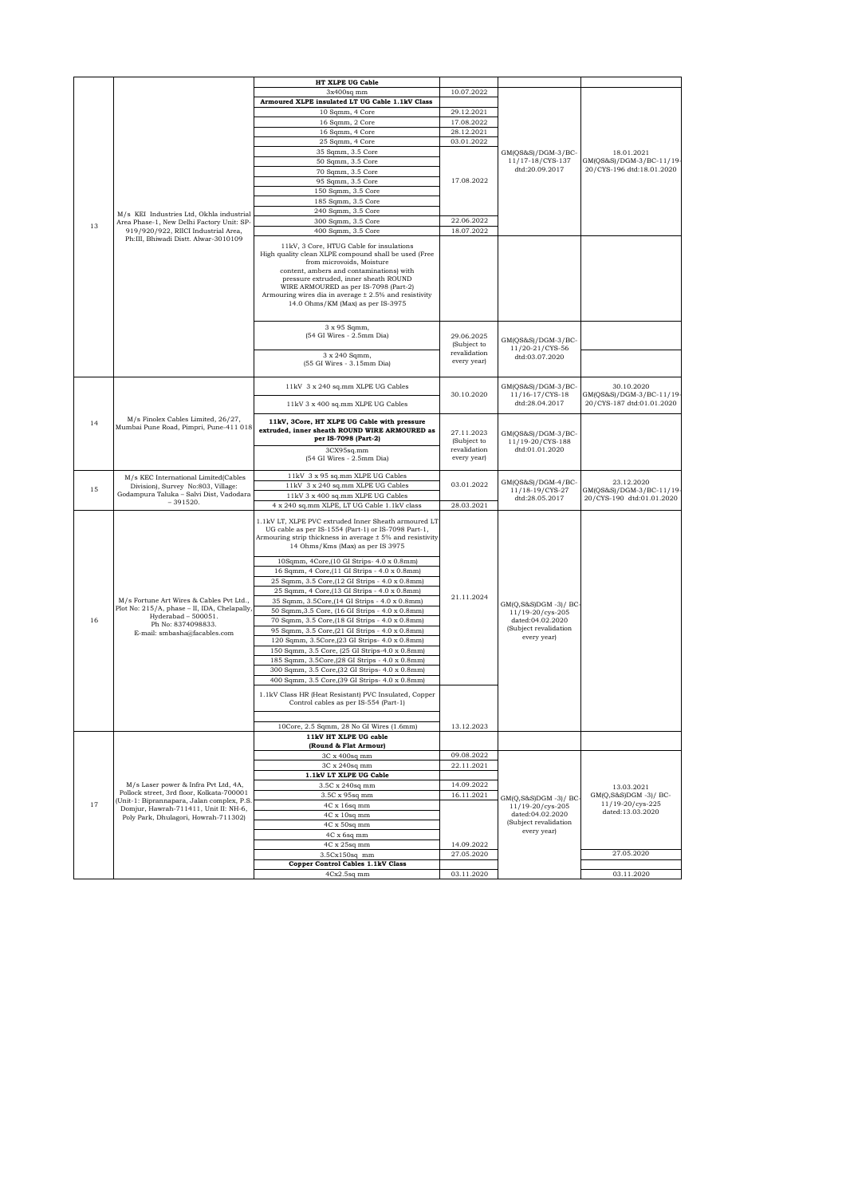|    |                                                                                                                                                                      | HT XLPE UG Cable                                                                                                                                                                                                                                                                                                                                               |                             |                                                                                                      |                                                       |
|----|----------------------------------------------------------------------------------------------------------------------------------------------------------------------|----------------------------------------------------------------------------------------------------------------------------------------------------------------------------------------------------------------------------------------------------------------------------------------------------------------------------------------------------------------|-----------------------------|------------------------------------------------------------------------------------------------------|-------------------------------------------------------|
|    |                                                                                                                                                                      | 3x400sq mm                                                                                                                                                                                                                                                                                                                                                     | 10.07.2022                  |                                                                                                      |                                                       |
|    |                                                                                                                                                                      | Armoured XLPE insulated LT UG Cable 1.1kV Class                                                                                                                                                                                                                                                                                                                |                             |                                                                                                      |                                                       |
|    |                                                                                                                                                                      | 10 Sqmm, 4 Core                                                                                                                                                                                                                                                                                                                                                | 29.12.2021                  |                                                                                                      |                                                       |
|    |                                                                                                                                                                      | 16 Sqmm, 2 Core                                                                                                                                                                                                                                                                                                                                                | 17.08.2022                  |                                                                                                      |                                                       |
|    |                                                                                                                                                                      | 16 Sqmm, 4 Core                                                                                                                                                                                                                                                                                                                                                | 28.12.2021                  |                                                                                                      |                                                       |
|    |                                                                                                                                                                      | 25 Sqmm, 4 Core                                                                                                                                                                                                                                                                                                                                                | 03.01.2022                  |                                                                                                      |                                                       |
|    |                                                                                                                                                                      | 35 Sqmm, 3.5 Core                                                                                                                                                                                                                                                                                                                                              |                             | GM(QS&S)/DGM-3/BC-                                                                                   | 18.01.2021                                            |
|    |                                                                                                                                                                      | 50 Sqmm, 3.5 Core                                                                                                                                                                                                                                                                                                                                              |                             | 11/17-18/CYS-137<br>dtd:20.09.2017                                                                   | GM(QS&S)/DGM-3/BC-11/19-<br>20/CYS-196 dtd:18.01.2020 |
|    | M/s KEI Industries Ltd, Okhla industrial<br>Area Phase-1, New Delhi Factory Unit: SP-<br>919/920/922, RIICI Industrial Area,<br>Ph:III, Bhiwadi Distt. Alwar-3010109 | 70 Sqmm, 3.5 Core<br>95 Sqmm, 3.5 Core                                                                                                                                                                                                                                                                                                                         | 17.08.2022                  |                                                                                                      |                                                       |
|    |                                                                                                                                                                      | 150 Sqmm, 3.5 Core                                                                                                                                                                                                                                                                                                                                             |                             |                                                                                                      |                                                       |
|    |                                                                                                                                                                      | 185 Sqmm, 3.5 Core                                                                                                                                                                                                                                                                                                                                             |                             |                                                                                                      |                                                       |
|    |                                                                                                                                                                      | 240 Sqmm, 3.5 Core                                                                                                                                                                                                                                                                                                                                             |                             |                                                                                                      |                                                       |
|    |                                                                                                                                                                      | 300 Sqmm, 3.5 Core                                                                                                                                                                                                                                                                                                                                             | 22.06.2022                  |                                                                                                      |                                                       |
| 13 |                                                                                                                                                                      | 400 Sqmm, 3.5 Core                                                                                                                                                                                                                                                                                                                                             | 18.07.2022                  |                                                                                                      |                                                       |
|    |                                                                                                                                                                      | 11kV, 3 Core, HTUG Cable for insulations<br>High quality clean XLPE compound shall be used (Free<br>from microvoids, Moisture<br>content, ambers and contaminations) with<br>pressure extruded, inner sheath ROUND<br>WIRE ARMOURED as per IS-7098 (Part-2)<br>Armouring wires dia in average $\pm 2.5$ % and resistivity<br>14.0 Ohms/KM (Max) as per IS-3975 |                             |                                                                                                      |                                                       |
|    |                                                                                                                                                                      | 3 x 95 Sqmm,<br>(54 GI Wires - 2.5mm Dia)                                                                                                                                                                                                                                                                                                                      | 29.06.2025<br>(Subject to   | GM(QS&S)/DGM-3/BC-                                                                                   |                                                       |
|    |                                                                                                                                                                      | 3 x 240 Sqmm,<br>(55 GI Wires - 3.15mm Dia)                                                                                                                                                                                                                                                                                                                    | revalidation<br>every year) | 11/20-21/CYS-56<br>dtd:03.07.2020                                                                    |                                                       |
|    |                                                                                                                                                                      | 11kV 3 x 240 sq.mm XLPE UG Cables                                                                                                                                                                                                                                                                                                                              | 30.10.2020                  | GM(QS&S)/DGM-3/BC-<br>11/16-17/CYS-18                                                                | 30.10.2020<br>GM(QS&S)/DGM-3/BC-11/19-                |
|    |                                                                                                                                                                      | 11kV 3 x 400 sq.mm XLPE UG Cables                                                                                                                                                                                                                                                                                                                              |                             | dtd:28.04.2017                                                                                       | 20/CYS-187 dtd:01.01.2020                             |
| 14 | M/s Finolex Cables Limited, 26/27,<br>Mumbai Pune Road, Pimpri, Pune-411 018                                                                                         | 11kV, 3Core, HT XLPE UG Cable with pressure<br>extruded, inner sheath ROUND WIRE ARMOURED as<br>per IS-7098 (Part-2)                                                                                                                                                                                                                                           | 27.11.2023<br>(Subject to   | $GM(QS&S)/DGM-3/BC-$<br>11/19-20/CYS-188                                                             |                                                       |
|    |                                                                                                                                                                      | 3CX95sq.mm<br>(54 GI Wires - 2.5mm Dia)                                                                                                                                                                                                                                                                                                                        | revalidation<br>every year) | dtd:01.01.2020                                                                                       |                                                       |
| 15 | M/s KEC International Limited(Cables<br>Division), Survey No:803, Village:<br>Godampura Taluka - Salvi Dist, Vadodara<br>$-391520.$                                  | 11kV 3 x 95 sq.mm XLPE UG Cables<br>11kV 3 x 240 sq.mm XLPE UG Cables                                                                                                                                                                                                                                                                                          | 03.01.2022                  | $GM(QS&S)/DGM-4/BC-$<br>11/18-19/CYS-27                                                              | 23.12.2020<br>GM(QS&S)/DGM-3/BC-11/19-                |
|    |                                                                                                                                                                      | 11kV 3 x 400 sq.mm XLPE UG Cables                                                                                                                                                                                                                                                                                                                              |                             | dtd:28.05.2017                                                                                       | 20/CYS-190 dtd:01.01.2020                             |
|    |                                                                                                                                                                      | 4 x 240 sq.mm XLPE, LT UG Cable 1.1kV class<br>1.1kV LT, XLPE PVC extruded Inner Sheath armoured LT<br>UG cable as per IS-1554 (Part-1) or IS-7098 Part-1,<br>Armouring strip thickness in average ± 5% and resistivity                                                                                                                                        | 28.03.2021                  |                                                                                                      |                                                       |
|    |                                                                                                                                                                      | 14 Ohms/Kms (Max) as per IS 3975<br>10Sqmm, 4Core, (10 GI Strips- 4.0 x 0.8mm)<br>16 Sqmm, 4 Core, (11 GI Strips - 4.0 x 0.8mm)<br>25 Sqmm, 3.5 Core, (12 GI Strips - 4.0 x 0.8mm)                                                                                                                                                                             |                             |                                                                                                      |                                                       |
|    | M/s Fortune Art Wires & Cables Pvt Ltd.,<br>Plot No: 215/A, phase - II, IDA, Chelapally,<br>Hyderabad - 500051.                                                      | 25 Sqmm, 4 Core, (13 GI Strips - 4.0 x 0.8mm)<br>35 Sqmm, 3.5Core, [14 GI Strips - 4.0 x 0.8mm)<br>50 Sqmm, 3.5 Core, (16 GI Strips - 4.0 x 0.8mm)                                                                                                                                                                                                             | 21.11.2024                  | GM(Q,S&S)DGM -3)/ BC<br>11/19-20/cys-205<br>dated:04.02.2020<br>(Subject revalidation<br>every year) |                                                       |
| 16 | Ph No: 8374098833.<br>E-mail: smbasha@facables.com                                                                                                                   | 70 Sqmm, 3.5 Core, (18 GI Strips - 4.0 x 0.8mm)<br>95 Sqmm, 3.5 Core, (21 GI Strips - 4.0 x 0.8mm)<br>120 Sqmm, 3.5Core, (23 GI Strips- 4.0 x 0.8mm)<br>150 Sqmm, 3.5 Core, (25 GI Strips-4.0 x 0.8mm)                                                                                                                                                         |                             |                                                                                                      |                                                       |
|    |                                                                                                                                                                      | 185 Sqmm, 3.5Core, (28 GI Strips - 4.0 x 0.8mm)<br>300 Sqmm, 3.5 Core, (32 GI Strips- 4.0 x 0.8mm)<br>400 Sqmm, 3.5 Core, (39 GI Strips- 4.0 x 0.8mm)                                                                                                                                                                                                          |                             |                                                                                                      |                                                       |
|    |                                                                                                                                                                      | 1.1kV Class HR (Heat Resistant) PVC Insulated, Copper<br>Control cables as per IS-554 (Part-1)                                                                                                                                                                                                                                                                 |                             |                                                                                                      |                                                       |
|    |                                                                                                                                                                      | 10Core, 2.5 Sqmm, 28 No GI Wires (1.6mm)                                                                                                                                                                                                                                                                                                                       | 13.12.2023                  |                                                                                                      |                                                       |
|    |                                                                                                                                                                      | 11kV HT XLPE UG cable                                                                                                                                                                                                                                                                                                                                          |                             |                                                                                                      |                                                       |
|    |                                                                                                                                                                      | (Round & Flat Armour)                                                                                                                                                                                                                                                                                                                                          |                             |                                                                                                      |                                                       |
|    |                                                                                                                                                                      | 3C x 400sq mm                                                                                                                                                                                                                                                                                                                                                  | 09.08.2022                  |                                                                                                      |                                                       |
|    |                                                                                                                                                                      | 3C x 240sq mm                                                                                                                                                                                                                                                                                                                                                  | 22.11.2021                  |                                                                                                      |                                                       |
|    | M/s Laser power & Infra Pvt Ltd, 4A,                                                                                                                                 | 1.1kV LT XLPE UG Cable                                                                                                                                                                                                                                                                                                                                         | 14.09.2022                  |                                                                                                      |                                                       |
|    | Pollock street, 3rd floor, Kolkata-700001                                                                                                                            | 3.5C x 240sq mm<br>3.5C x 95sq mm                                                                                                                                                                                                                                                                                                                              | 16.11.2021                  |                                                                                                      | 13.03.2021<br>GM(O.S&S)DGM -3)/ BC-                   |
| 17 | (Unit-1: Biprannapara, Jalan complex, P.S.                                                                                                                           | 4C x 16sq mm                                                                                                                                                                                                                                                                                                                                                   |                             | GM(Q,S&S)DGM -3)/ BC<br>11/19-20/cys-205                                                             | 11/19-20/cys-225                                      |
|    | Domjur, Hawrah-711411, Unit II: NH-6,<br>Poly Park, Dhulagori, Howrah-711302)                                                                                        | 4C x 10sq mm                                                                                                                                                                                                                                                                                                                                                   |                             | dated:04.02.2020                                                                                     | dated:13.03.2020                                      |
|    |                                                                                                                                                                      | 4C x 50sq mm                                                                                                                                                                                                                                                                                                                                                   |                             | (Subject revalidation                                                                                |                                                       |
|    |                                                                                                                                                                      | $4C \ge 6 \le q \le m$                                                                                                                                                                                                                                                                                                                                         |                             | every year)                                                                                          |                                                       |
|    |                                                                                                                                                                      | 4C x 25sq mm                                                                                                                                                                                                                                                                                                                                                   | 14.09.2022                  |                                                                                                      |                                                       |
|    |                                                                                                                                                                      | 3.5Cx150sq mm                                                                                                                                                                                                                                                                                                                                                  | 27.05.2020                  |                                                                                                      | 27.05.2020                                            |
|    |                                                                                                                                                                      | <b>Copper Control Cables 1.1kV Class</b><br>$4Cx2.5sq$ mm                                                                                                                                                                                                                                                                                                      | 03.11.2020                  |                                                                                                      | 03.11.2020                                            |
|    |                                                                                                                                                                      |                                                                                                                                                                                                                                                                                                                                                                |                             |                                                                                                      |                                                       |